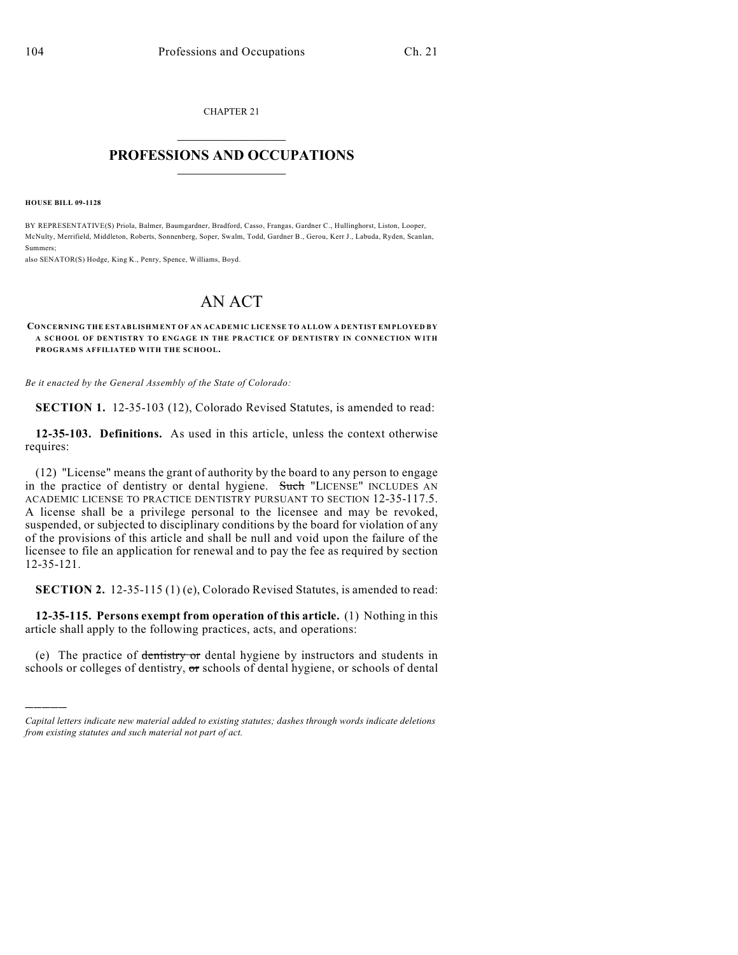CHAPTER 21  $\overline{\phantom{a}}$  . The set of the set of the set of the set of the set of the set of the set of the set of the set of the set of the set of the set of the set of the set of the set of the set of the set of the set of the set o

## **PROFESSIONS AND OCCUPATIONS**  $\frac{1}{2}$  ,  $\frac{1}{2}$  ,  $\frac{1}{2}$  ,  $\frac{1}{2}$  ,  $\frac{1}{2}$  ,  $\frac{1}{2}$

**HOUSE BILL 09-1128**

)))))

BY REPRESENTATIVE(S) Priola, Balmer, Baumgardner, Bradford, Casso, Frangas, Gardner C., Hullinghorst, Liston, Looper, McNulty, Merrifield, Middleton, Roberts, Sonnenberg, Soper, Swalm, Todd, Gardner B., Gerou, Kerr J., Labuda, Ryden, Scanlan, Summers;

also SENATOR(S) Hodge, King K., Penry, Spence, Williams, Boyd.

## AN ACT

## **CONCERNING THE ESTABLISHMENT OF AN ACADEMIC LICENSE TO ALLOW A DENTIST EMPLOYED BY A SCHOOL OF DENTISTRY TO ENGAGE IN THE PRACTICE OF DENTISTRY IN CONNECTION WITH PROGRAMS AFFILIATED WITH THE SCHOOL.**

*Be it enacted by the General Assembly of the State of Colorado:*

**SECTION 1.** 12-35-103 (12), Colorado Revised Statutes, is amended to read:

**12-35-103. Definitions.** As used in this article, unless the context otherwise requires:

(12) "License" means the grant of authority by the board to any person to engage in the practice of dentistry or dental hygiene. Such "LICENSE" INCLUDES AN ACADEMIC LICENSE TO PRACTICE DENTISTRY PURSUANT TO SECTION 12-35-117.5. A license shall be a privilege personal to the licensee and may be revoked, suspended, or subjected to disciplinary conditions by the board for violation of any of the provisions of this article and shall be null and void upon the failure of the licensee to file an application for renewal and to pay the fee as required by section 12-35-121.

**SECTION 2.** 12-35-115 (1) (e), Colorado Revised Statutes, is amended to read:

**12-35-115. Persons exempt from operation of this article.** (1) Nothing in this article shall apply to the following practices, acts, and operations:

(e) The practice of dentistry or dental hygiene by instructors and students in schools or colleges of dentistry, or schools of dental hygiene, or schools of dental

*Capital letters indicate new material added to existing statutes; dashes through words indicate deletions from existing statutes and such material not part of act.*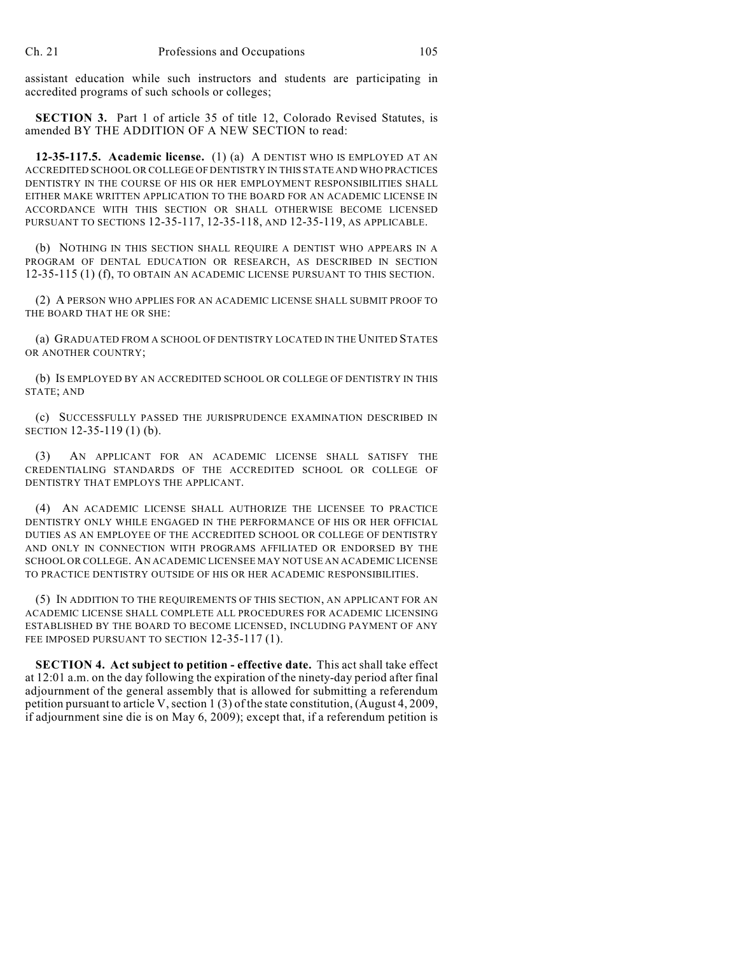assistant education while such instructors and students are participating in accredited programs of such schools or colleges;

**SECTION 3.** Part 1 of article 35 of title 12, Colorado Revised Statutes, is amended BY THE ADDITION OF A NEW SECTION to read:

**12-35-117.5. Academic license.** (1) (a) A DENTIST WHO IS EMPLOYED AT AN ACCREDITED SCHOOL OR COLLEGE OF DENTISTRY IN THIS STATE AND WHO PRACTICES DENTISTRY IN THE COURSE OF HIS OR HER EMPLOYMENT RESPONSIBILITIES SHALL EITHER MAKE WRITTEN APPLICATION TO THE BOARD FOR AN ACADEMIC LICENSE IN ACCORDANCE WITH THIS SECTION OR SHALL OTHERWISE BECOME LICENSED PURSUANT TO SECTIONS 12-35-117, 12-35-118, AND 12-35-119, AS APPLICABLE.

(b) NOTHING IN THIS SECTION SHALL REQUIRE A DENTIST WHO APPEARS IN A PROGRAM OF DENTAL EDUCATION OR RESEARCH, AS DESCRIBED IN SECTION 12-35-115 (1) (f), TO OBTAIN AN ACADEMIC LICENSE PURSUANT TO THIS SECTION.

(2) A PERSON WHO APPLIES FOR AN ACADEMIC LICENSE SHALL SUBMIT PROOF TO THE BOARD THAT HE OR SHE:

(a) GRADUATED FROM A SCHOOL OF DENTISTRY LOCATED IN THE UNITED STATES OR ANOTHER COUNTRY;

(b) IS EMPLOYED BY AN ACCREDITED SCHOOL OR COLLEGE OF DENTISTRY IN THIS STATE; AND

(c) SUCCESSFULLY PASSED THE JURISPRUDENCE EXAMINATION DESCRIBED IN SECTION 12-35-119 (1) (b).

(3) AN APPLICANT FOR AN ACADEMIC LICENSE SHALL SATISFY THE CREDENTIALING STANDARDS OF THE ACCREDITED SCHOOL OR COLLEGE OF DENTISTRY THAT EMPLOYS THE APPLICANT.

(4) AN ACADEMIC LICENSE SHALL AUTHORIZE THE LICENSEE TO PRACTICE DENTISTRY ONLY WHILE ENGAGED IN THE PERFORMANCE OF HIS OR HER OFFICIAL DUTIES AS AN EMPLOYEE OF THE ACCREDITED SCHOOL OR COLLEGE OF DENTISTRY AND ONLY IN CONNECTION WITH PROGRAMS AFFILIATED OR ENDORSED BY THE SCHOOL OR COLLEGE. AN ACADEMIC LICENSEE MAY NOT USE AN ACADEMIC LICENSE TO PRACTICE DENTISTRY OUTSIDE OF HIS OR HER ACADEMIC RESPONSIBILITIES.

(5) IN ADDITION TO THE REQUIREMENTS OF THIS SECTION, AN APPLICANT FOR AN ACADEMIC LICENSE SHALL COMPLETE ALL PROCEDURES FOR ACADEMIC LICENSING ESTABLISHED BY THE BOARD TO BECOME LICENSED, INCLUDING PAYMENT OF ANY FEE IMPOSED PURSUANT TO SECTION 12-35-117(1).

**SECTION 4. Act subject to petition - effective date.** This act shall take effect at 12:01 a.m. on the day following the expiration of the ninety-day period after final adjournment of the general assembly that is allowed for submitting a referendum petition pursuant to article V, section 1 (3) of the state constitution, (August 4, 2009, if adjournment sine die is on May 6, 2009); except that, if a referendum petition is